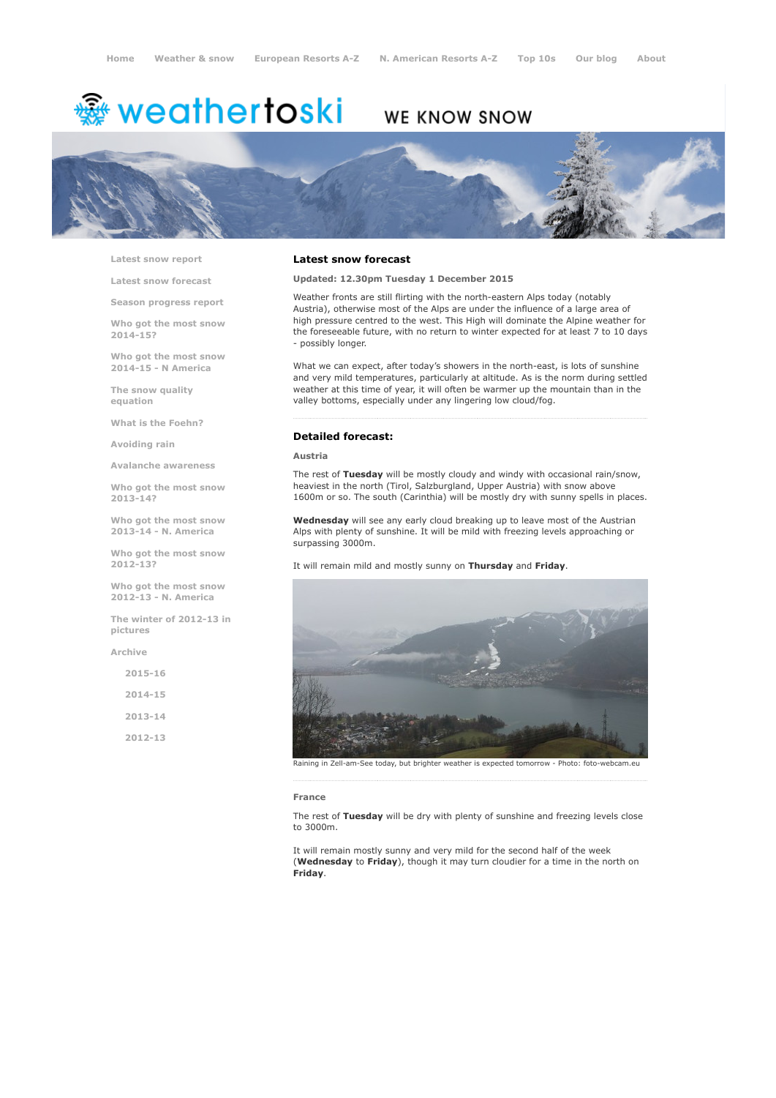# <del>灥</del> weathertoski

## WE KNOW SNOW



Latest snow [report](http://www.weathertoski.co.uk/weather-snow/latest-snow-report/)

Latest snow [forecast](http://www.weathertoski.co.uk/weather-snow/latest-snow-forecast/)

Season [progress](http://www.weathertoski.co.uk/weather-snow/season-progress-report/) report

Who got the most snow 2014-15?

Who got the most snow 2014-15 - N America

The snow quality [equation](http://www.weathertoski.co.uk/weather-snow/the-snow-quality-equation/)

What is the [Foehn?](http://www.weathertoski.co.uk/weather-snow/what-is-the-foehn/)

[Avoiding](http://www.weathertoski.co.uk/weather-snow/avoiding-rain/) rain

Avalanche [awareness](http://www.weathertoski.co.uk/weather-snow/avalanche-awareness/)

Who got the most snow 2013-14?

Who got the most snow 2013-14 - N. America

Who got the most snow 2012-13?

Who got the most snow 2012-13 - N. America

The winter of 2012-13 in pictures

[Archive](http://www.weathertoski.co.uk/weather-snow/archive/)

 $2015 - 16$ 2014-15 2013-14

2012-13

#### Latest snow forecast

Updated: 12.30pm Tuesday 1 December 2015

Weather fronts are still flirting with the north-eastern Alps today (notably Austria), otherwise most of the Alps are under the influence of a large area of high pressure centred to the west. This High will dominate the Alpine weather for the foreseeable future, with no return to winter expected for at least 7 to 10 days - possibly longer.

What we can expect, after today's showers in the north-east, is lots of sunshine and very mild temperatures, particularly at altitude. As is the norm during settled weather at this time of year, it will often be warmer up the mountain than in the valley bottoms, especially under any lingering low cloud/fog.

### Detailed forecast:

#### Austria

The rest of Tuesday will be mostly cloudy and windy with occasional rain/snow, heaviest in the north (Tirol, Salzburgland, Upper Austria) with snow above 1600m or so. The south (Carinthia) will be mostly dry with sunny spells in places.

Wednesday will see any early cloud breaking up to leave most of the Austrian Alps with plenty of sunshine. It will be mild with freezing levels approaching or surpassing 3000m.

It will remain mild and mostly sunny on Thursday and Friday.



Raining in Zell-am-See today, but brighter weather is expected tomorrow - Photo: foto-webcam.eu

#### France

The rest of Tuesday will be dry with plenty of sunshine and freezing levels close to 3000m.

It will remain mostly sunny and very mild for the second half of the week (Wednesday to Friday), though it may turn cloudier for a time in the north on Friday.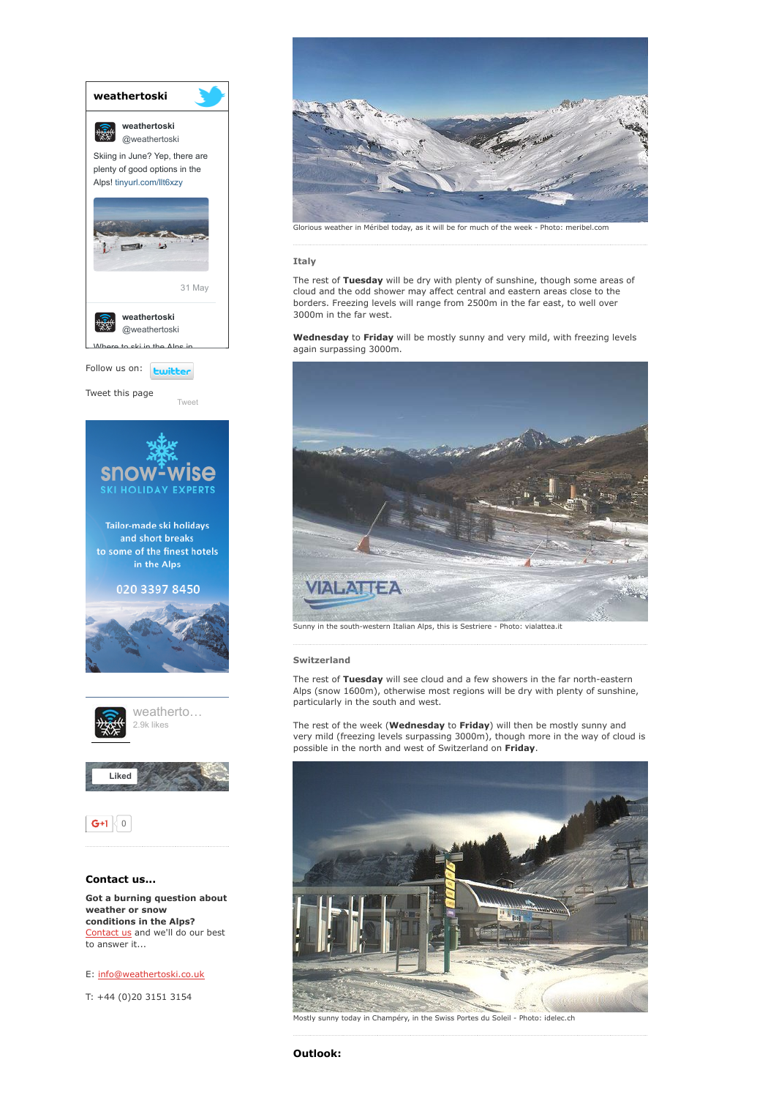

weather or snow conditions in the Alps? [Contact](http://www.weathertoski.co.uk/about-1/contact-us/) us and we'll do our best to answer it...

E: [info@weathertoski.co.uk](mailto:fraser@weathertoski.co.uk)

T: +44 (0)20 3151 3154



#### Italy

The rest of Tuesday will be dry with plenty of sunshine, though some areas of cloud and the odd shower may affect central and eastern areas close to the borders. Freezing levels will range from 2500m in the far east, to well over 3000m in the far west.

Wednesday to Friday will be mostly sunny and very mild, with freezing levels again surpassing 3000m.



Sunny in the south-western Italian Alps, this is Sestriere - Photo: vialattea.it

#### Switzerland

The rest of Tuesday will see cloud and a few showers in the far north-eastern Alps (snow 1600m), otherwise most regions will be dry with plenty of sunshine, particularly in the south and west.

The rest of the week (**Wednesday** to **Friday**) will then be mostly sunny and very mild (freezing levels surpassing 3000m), though more in the way of cloud is possible in the north and west of Switzerland on Friday.



Mostly sunny today in Champéry, in the Swiss Portes du Soleil - Photo: idelec.ch